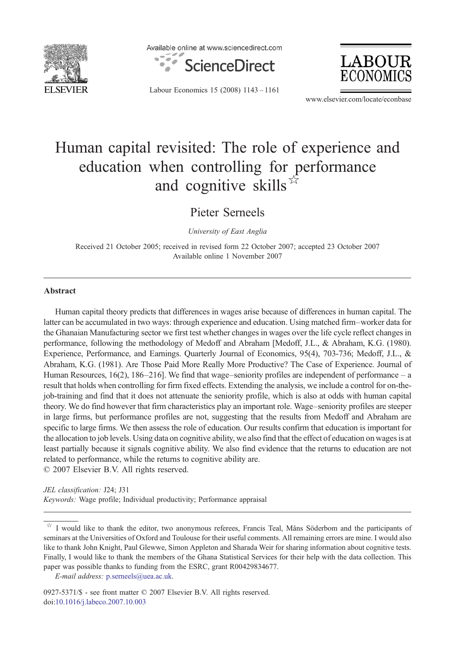

Available online at www.sciencedirect.com







www.elsevier.com/locate/econbase

## Human capital revisited: The role of experience and education when controlling for performance and cognitive skills  $\overline{x}$

Pieter Serneels

University of East Anglia

Received 21 October 2005; received in revised form 22 October 2007; accepted 23 October 2007 Available online 1 November 2007

## Abstract

Human capital theory predicts that differences in wages arise because of differences in human capital. The latter can be accumulated in two ways: through experience and education. Using matched firm–worker data for the Ghanaian Manufacturing sector we first test whether changes in wages over the life cycle reflect changes in performance, following the methodology of Medoff and Abraham [Medoff, J.L., & Abraham, K.G. (1980). Experience, Performance, and Earnings. Quarterly Journal of Economics, 95(4), 703-736; Medoff, J.L., & Abraham, K.G. (1981). Are Those Paid More Really More Productive? The Case of Experience. Journal of Human Resources, 16(2), 186–216]. We find that wage–seniority profiles are independent of performance – a result that holds when controlling for firm fixed effects. Extending the analysis, we include a control for on-thejob-training and find that it does not attenuate the seniority profile, which is also at odds with human capital theory. We do find however that firm characteristics play an important role. Wage–seniority profiles are steeper in large firms, but performance profiles are not, suggesting that the results from Medoff and Abraham are specific to large firms. We then assess the role of education. Our results confirm that education is important for the allocation to job levels. Using data on cognitive ability, we also find that the effect of education on wages is at least partially because it signals cognitive ability. We also find evidence that the returns to education are not related to performance, while the returns to cognitive ability are. © 2007 Elsevier B.V. All rights reserved.

JEL classification: J24; J31 Keywords: Wage profile; Individual productivity; Performance appraisal

I would like to thank the editor, two anonymous referees, Francis Teal, Måns Söderbom and the participants of seminars at the Universities of Oxford and Toulouse for their useful comments. All remaining errors are mine. I would also like to thank John Knight, Paul Glewwe, Simon Appleton and Sharada Weir for sharing information about cognitive tests. Finally, I would like to thank the members of the Ghana Statistical Services for their help with the data collection. This paper was possible thanks to funding from the ESRC, grant R00429834677.

E-mail address: [p.serneels@uea.ac.uk.](mailto:p.serneels@uea.ac.uk)

0927-5371/\$ - see front matter © 2007 Elsevier B.V. All rights reserved. doi:[10.1016/j.labeco.2007.10.003](http://dx.doi.org/10.1016/j.labeco.2007.10.003)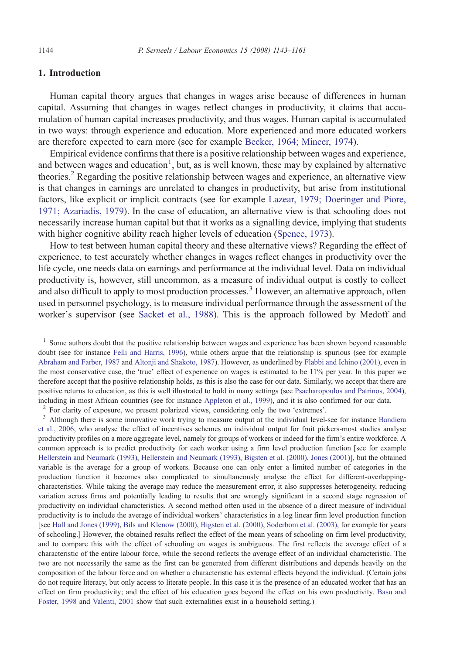## 1. Introduction

Human capital theory argues that changes in wages arise because of differences in human capital. Assuming that changes in wages reflect changes in productivity, it claims that accumulation of human capital increases productivity, and thus wages. Human capital is accumulated in two ways: through experience and education. More experienced and more educated workers are therefore expected to earn more (see for example [Becker, 1964; Mincer, 1974](#page--1-0)).

Empirical evidence confirms that there is a positive relationship between wages and experience, and between wages and education<sup>1</sup>, but, as is well known, these may by explained by alternative theories.<sup>2</sup> Regarding the positive relationship between wages and experience, an alternative view is that changes in earnings are unrelated to changes in productivity, but arise from institutional factors, like explicit or implicit contracts (see for example [Lazear, 1979; Doeringer and Piore,](#page--1-0) [1971; Azariadis, 1979\)](#page--1-0). In the case of education, an alternative view is that schooling does not necessarily increase human capital but that it works as a signalling device, implying that students with higher cognitive ability reach higher levels of education [\(Spence, 1973](#page--1-0)).

How to test between human capital theory and these alternative views? Regarding the effect of experience, to test accurately whether changes in wages reflect changes in productivity over the life cycle, one needs data on earnings and performance at the individual level. Data on individual productivity is, however, still uncommon, as a measure of individual output is costly to collect and also difficult to apply to most production processes.<sup>3</sup> However, an alternative approach, often used in personnel psychology, is to measure individual performance through the assessment of the worker's supervisor (see [Sacket et al., 1988](#page--1-0)). This is the approach followed by Medoff and

[et al., 2006,](#page--1-0) who analyse the effect of incentives schemes on individual output for fruit pickers-most studies analyse productivity profiles on a more aggregate level, namely for groups of workers or indeed for the firm's entire workforce. A common approach is to predict productivity for each worker using a firm level production function [see for example [Hellerstein and Neumark \(1993\),](#page--1-0) [Hellerstein and Neumark \(1993\),](#page--1-0) [Bigsten et al. \(2000\)](#page--1-0), [Jones \(2001\)](#page--1-0)], but the obtained variable is the average for a group of workers. Because one can only enter a limited number of categories in the production function it becomes also complicated to simultaneously analyse the effect for different-overlappingcharacteristics. While taking the average may reduce the measurement error, it also suppresses heterogeneity, reducing variation across firms and potentially leading to results that are wrongly significant in a second stage regression of productivity on individual characteristics. A second method often used in the absence of a direct measure of individual productivity is to include the average of individual workers' characteristics in a log linear firm level production function [see [Hall and Jones \(1999\)](#page--1-0), [Bils and Klenow \(2000\),](#page--1-0) [Bigsten et al. \(2000\)](#page--1-0), [Soderbom et al. \(2003\),](#page--1-0) for example for years of schooling.] However, the obtained results reflect the effect of the mean years of schooling on firm level productivity, and to compare this with the effect of schooling on wages is ambiguous. The first reflects the average effect of a characteristic of the entire labour force, while the second reflects the average effect of an individual characteristic. The two are not necessarily the same as the first can be generated from different distributions and depends heavily on the composition of the labour force and on whether a characteristic has external effects beyond the individual. (Certain jobs do not require literacy, but only access to literate people. In this case it is the presence of an educated worker that has an effect on firm productivity; and the effect of his education goes beyond the effect on his own productivity. [Basu and](#page--1-0) [Foster, 1998](#page--1-0) and [Valenti, 2001](#page--1-0) show that such externalities exist in a household setting.)

<sup>&</sup>lt;sup>1</sup> Some authors doubt that the positive relationship between wages and experience has been shown beyond reasonable doubt (see for instance [Felli and Harris, 1996](#page--1-0)), while others argue that the relationship is spurious (see for example [Abraham and Farber, 1987](#page--1-0) and [Altonji and Shakoto, 1987](#page--1-0)). However, as underlined by [Flabbi and Ichino \(2001\)](#page--1-0), even in the most conservative case, the 'true' effect of experience on wages is estimated to be 11% per year. In this paper we therefore accept that the positive relationship holds, as this is also the case for our data. Similarly, we accept that there are positive returns to education, as this is well illustrated to hold in many settings (see [Psacharopoulos and Patrinos, 2004\)](#page--1-0), including in most African countries (see for instance [Appleton et al., 1999\)](#page--1-0), and it is also confirmed for our data.<br><sup>2</sup> For clarity of exposure, we present polarized views, considering only the two 'extremes'.<br><sup>3</sup> Althoug